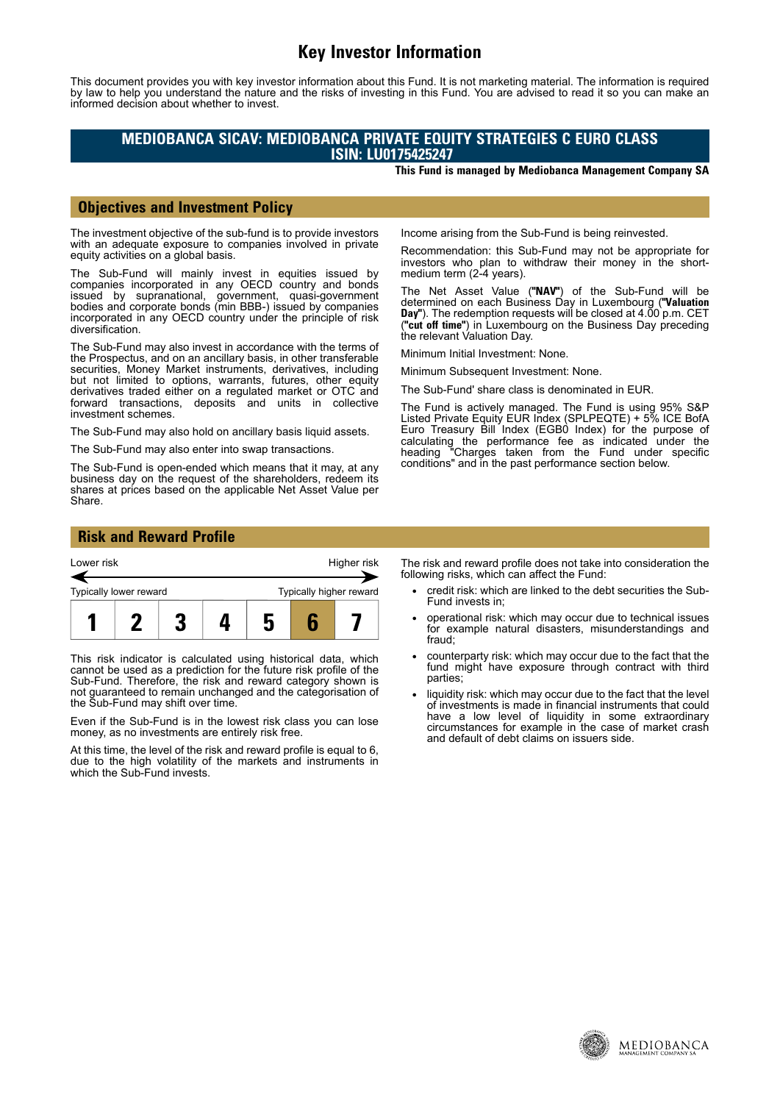# **Key Investor Information**

This document provides you with key investor information about this Fund. It is not marketing material. The information is required by law to help you understand the nature and the risks of investing in this Fund. You are advised to read it so you can make an informed decision about whether to invest.

### **MEDIOBANCA SICAV: MEDIOBANCA PRIVATE EQUITY STRATEGIES C EURO CLASS ISIN: LU0175425247**

**This Fund is managed by Mediobanca Management Company SA**

#### **Objectives and Investment Policy**

The investment objective of the sub-fund is to provide investors with an adequate exposure to companies involved in private equity activities on a global basis.

The Sub-Fund will mainly invest in equities issued by companies incorporated in any OECD country and bonds issued by supranational, government, quasi-government bodies and corporate bonds (min BBB-) issued by companies incorporated in any OECD country under the principle of risk diversification.

The Sub-Fund may also invest in accordance with the terms of the Prospectus, and on an ancillary basis, in other transferable securities, Money Market instruments, derivatives, including but not limited to options, warrants, futures, other equity derivatives traded either on a regulated market or OTC and forward transactions, deposits and units in collective investment schemes.

The Sub-Fund may also hold on ancillary basis liquid assets.

The Sub-Fund may also enter into swap transactions.

The Sub-Fund is open-ended which means that it may, at any business day on the request of the shareholders, redeem its shares at prices based on the applicable Net Asset Value per Share.

Income arising from the Sub-Fund is being reinvested.

Recommendation: this Sub-Fund may not be appropriate for investors who plan to withdraw their money in the shortmedium term (2-4 years).

The Net Asset Value (**"NAV"**) of the Sub-Fund will be determined on each Business Day in Luxembourg (**"Valuation Day"**). The redemption requests will be closed at 4.00 p.m. CET (**"cut off time"**) in Luxembourg on the Business Day preceding the relevant Valuation Day.

Minimum Initial Investment: None.

Minimum Subsequent Investment: None.

The Sub-Fund' share class is denominated in EUR.

The Fund is actively managed. The Fund is using 95% S&P Listed Private Equity EUR Index (SPLPEQTE) + 5% ICE BofA Euro Treasury Bill Index (EGB0 Index) for the purpose of calculating the performance fee as indicated under the heading "Charges taken from the Fund under specific conditions" and in the past performance section below.

### **Risk and Reward Profile**



This risk indicator is calculated using historical data, which cannot be used as a prediction for the future risk profile of the Sub-Fund. Therefore, the risk and reward category shown is not guaranteed to remain unchanged and the categorisation of the Sub-Fund may shift over time.

Even if the Sub-Fund is in the lowest risk class you can lose money, as no investments are entirely risk free.

At this time, the level of the risk and reward profile is equal to 6, due to the high volatility of the markets and instruments in which the Sub-Fund invests.

The risk and reward profile does not take into consideration the following risks, which can affect the Fund:

- credit risk: which are linked to the debt securities the Sub-Fund invests in;
- operational risk: which may occur due to technical issues for example natural disasters, misunderstandings and fraud;
- counterparty risk: which may occur due to the fact that the fund might have exposure through contract with third parties;
- liquidity risk: which may occur due to the fact that the level of investments is made in financial instruments that could have a low level of liquidity in some extraordinary circumstances for example in the case of market crash and default of debt claims on issuers side.